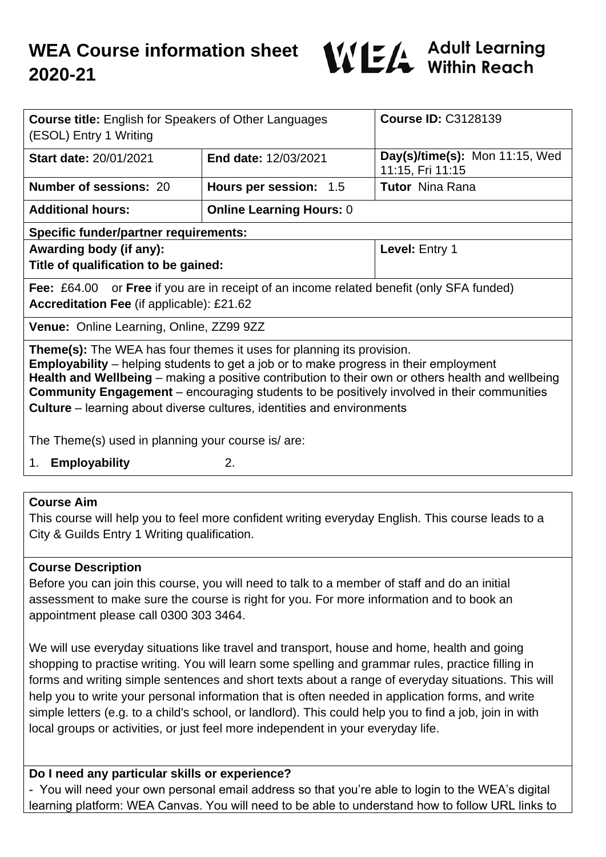

| <b>Course title: English for Speakers of Other Languages</b><br>(ESOL) Entry 1 Writing                                                                                                                                                                                                                                                                                                                                                                                                                                        |                                 | <b>Course ID: C3128139</b>                         |
|-------------------------------------------------------------------------------------------------------------------------------------------------------------------------------------------------------------------------------------------------------------------------------------------------------------------------------------------------------------------------------------------------------------------------------------------------------------------------------------------------------------------------------|---------------------------------|----------------------------------------------------|
| <b>Start date: 20/01/2021</b>                                                                                                                                                                                                                                                                                                                                                                                                                                                                                                 | End date: 12/03/2021            | Day(s)/time(s): Mon 11:15, Wed<br>11:15, Fri 11:15 |
| <b>Number of sessions: 20</b>                                                                                                                                                                                                                                                                                                                                                                                                                                                                                                 | Hours per session: 1.5          | <b>Tutor</b> Nina Rana                             |
| <b>Additional hours:</b>                                                                                                                                                                                                                                                                                                                                                                                                                                                                                                      | <b>Online Learning Hours: 0</b> |                                                    |
| <b>Specific funder/partner requirements:</b>                                                                                                                                                                                                                                                                                                                                                                                                                                                                                  |                                 |                                                    |
| Awarding body (if any):                                                                                                                                                                                                                                                                                                                                                                                                                                                                                                       |                                 | Level: Entry 1                                     |
| Title of qualification to be gained:                                                                                                                                                                                                                                                                                                                                                                                                                                                                                          |                                 |                                                    |
| <b>Fee:</b> £64.00 or <b>Free</b> if you are in receipt of an income related benefit (only SFA funded)<br>Accreditation Fee (if applicable): £21.62                                                                                                                                                                                                                                                                                                                                                                           |                                 |                                                    |
| Venue: Online Learning, Online, ZZ99 9ZZ                                                                                                                                                                                                                                                                                                                                                                                                                                                                                      |                                 |                                                    |
| <b>Theme(s):</b> The WEA has four themes it uses for planning its provision.<br><b>Employability</b> – helping students to get a job or to make progress in their employment<br>Health and Wellbeing – making a positive contribution to their own or others health and wellbeing<br><b>Community Engagement</b> - encouraging students to be positively involved in their communities<br><b>Culture</b> – learning about diverse cultures, identities and environments<br>The Theme(s) used in planning your course is/ are: |                                 |                                                    |
| 1. Employability                                                                                                                                                                                                                                                                                                                                                                                                                                                                                                              | 2.                              |                                                    |
|                                                                                                                                                                                                                                                                                                                                                                                                                                                                                                                               |                                 |                                                    |
| Course Aim                                                                                                                                                                                                                                                                                                                                                                                                                                                                                                                    |                                 |                                                    |

#### **Course Aim**

This course will help you to feel more confident writing everyday English. This course leads to a City & Guilds Entry 1 Writing qualification.

### **Course Description**

Before you can join this course, you will need to talk to a member of staff and do an initial assessment to make sure the course is right for you. For more information and to book an appointment please call 0300 303 3464.

We will use everyday situations like travel and transport, house and home, health and going shopping to practise writing. You will learn some spelling and grammar rules, practice filling in forms and writing simple sentences and short texts about a range of everyday situations. This will help you to write your personal information that is often needed in application forms, and write simple letters (e.g. to a child's school, or landlord). This could help you to find a job, join in with local groups or activities, or just feel more independent in your everyday life.

### **Do I need any particular skills or experience?**

- You will need your own personal email address so that you're able to login to the WEA's digital learning platform: WEA Canvas. You will need to be able to understand how to follow URL links to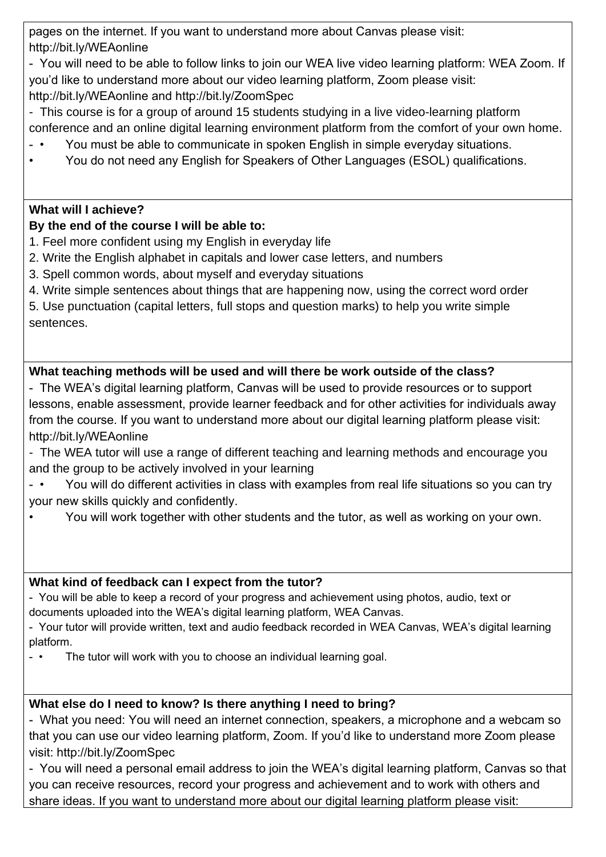pages on the internet. If you want to understand more about Canvas please visit: http://bit.ly/WEAonline

- You will need to be able to follow links to join our WEA live video learning platform: WEA Zoom. If you'd like to understand more about our video learning platform, Zoom please visit: http://bit.ly/WEAonline and http://bit.ly/ZoomSpec

- This course is for a group of around 15 students studying in a live video-learning platform conference and an online digital learning environment platform from the comfort of your own home.

- • You must be able to communicate in spoken English in simple everyday situations.
- You do not need any English for Speakers of Other Languages (ESOL) qualifications.

# **What will I achieve?**

# **By the end of the course I will be able to:**

- 1. Feel more confident using my English in everyday life
- 2. Write the English alphabet in capitals and lower case letters, and numbers
- 3. Spell common words, about myself and everyday situations
- 4. Write simple sentences about things that are happening now, using the correct word order

5. Use punctuation (capital letters, full stops and question marks) to help you write simple sentences.

# **What teaching methods will be used and will there be work outside of the class?**

- The WEA's digital learning platform, Canvas will be used to provide resources or to support lessons, enable assessment, provide learner feedback and for other activities for individuals away from the course. If you want to understand more about our digital learning platform please visit: http://bit.ly/WEAonline

- The WEA tutor will use a range of different teaching and learning methods and encourage you and the group to be actively involved in your learning
- • You will do different activities in class with examples from real life situations so you can try your new skills quickly and confidently.
- You will work together with other students and the tutor, as well as working on your own.

# **What kind of feedback can I expect from the tutor?**

- You will be able to keep a record of your progress and achievement using photos, audio, text or documents uploaded into the WEA's digital learning platform, WEA Canvas.
- Your tutor will provide written, text and audio feedback recorded in WEA Canvas, WEA's digital learning platform.
- • The tutor will work with you to choose an individual learning goal.

# **What else do I need to know? Is there anything I need to bring?**

- What you need: You will need an internet connection, speakers, a microphone and a webcam so that you can use our video learning platform, Zoom. If you'd like to understand more Zoom please visit: http://bit.ly/ZoomSpec

- You will need a personal email address to join the WEA's digital learning platform, Canvas so that you can receive resources, record your progress and achievement and to work with others and share ideas. If you want to understand more about our digital learning platform please visit: